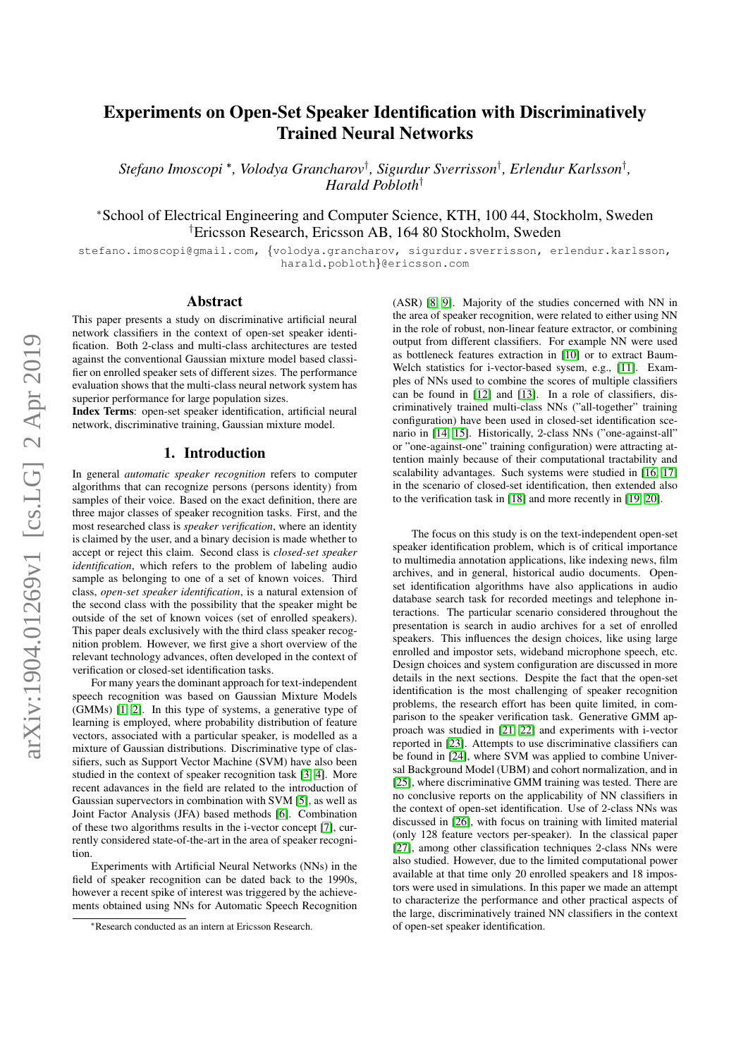# Experiments on Open-Set Speaker Identification with Discriminatively Trained Neural Networks

*Stefano Imoscopi* <sup>∗</sup> *, Volodya Grancharov*† *, Sigurdur Sverrisson*† *, Erlendur Karlsson*† *, Harald Pobloth*†

<sup>∗</sup>School of Electrical Engineering and Computer Science, KTH, 100 44, Stockholm, Sweden †Ericsson Research, Ericsson AB, 164 80 Stockholm, Sweden

stefano.imoscopi@gmail.com, {volodya.grancharov, sigurdur.sverrisson, erlendur.karlsson, harald.pobloth}@ericsson.com

# Abstract

This paper presents a study on discriminative artificial neural network classifiers in the context of open-set speaker identification. Both 2-class and multi-class architectures are tested against the conventional Gaussian mixture model based classifier on enrolled speaker sets of different sizes. The performance evaluation shows that the multi-class neural network system has superior performance for large population sizes.

Index Terms: open-set speaker identification, artificial neural network, discriminative training, Gaussian mixture model.

### 1. Introduction

In general *automatic speaker recognition* refers to computer algorithms that can recognize persons (persons identity) from samples of their voice. Based on the exact definition, there are three major classes of speaker recognition tasks. First, and the most researched class is *speaker verification*, where an identity is claimed by the user, and a binary decision is made whether to accept or reject this claim. Second class is *closed-set speaker identification*, which refers to the problem of labeling audio sample as belonging to one of a set of known voices. Third class, *open-set speaker identification*, is a natural extension of the second class with the possibility that the speaker might be outside of the set of known voices (set of enrolled speakers). This paper deals exclusively with the third class speaker recognition problem. However, we first give a short overview of the relevant technology advances, often developed in the context of verification or closed-set identification tasks.

For many years the dominant approach for text-independent speech recognition was based on Gaussian Mixture Models (GMMs) [\[1,](#page-4-0) [2\]](#page-4-1). In this type of systems, a generative type of learning is employed, where probability distribution of feature vectors, associated with a particular speaker, is modelled as a mixture of Gaussian distributions. Discriminative type of classifiers, such as Support Vector Machine (SVM) have also been studied in the context of speaker recognition task [\[3,](#page-4-2) [4\]](#page-4-3). More recent adavances in the field are related to the introduction of Gaussian supervectors in combination with SVM [\[5\]](#page-4-4), as well as Joint Factor Analysis (JFA) based methods [\[6\]](#page-4-5). Combination of these two algorithms results in the i-vector concept [\[7\]](#page-4-6), currently considered state-of-the-art in the area of speaker recognition.

Experiments with Artificial Neural Networks (NNs) in the field of speaker recognition can be dated back to the 1990s, however a recent spike of interest was triggered by the achievements obtained using NNs for Automatic Speech Recognition

(ASR) [\[8,](#page-4-7) [9\]](#page-4-8). Majority of the studies concerned with NN in the area of speaker recognition, were related to either using NN in the role of robust, non-linear feature extractor, or combining output from different classifiers. For example NN were used as bottleneck features extraction in [\[10\]](#page-4-9) or to extract Baum-Welch statistics for i-vector-based sysem, e.g., [\[11\]](#page-4-10). Examples of NNs used to combine the scores of multiple classifiers can be found in [\[12\]](#page-4-11) and [\[13\]](#page-4-12). In a role of classifiers, discriminatively trained multi-class NNs ("all-together" training configuration) have been used in closed-set identification scenario in [\[14,](#page-4-13) [15\]](#page-4-14). Historically, 2-class NNs ("one-against-all" or "one-against-one" training configuration) were attracting attention mainly because of their computational tractability and scalability advantages. Such systems were studied in [\[16,](#page-4-15) [17\]](#page-4-16) in the scenario of closed-set identification, then extended also to the verification task in [\[18\]](#page-4-17) and more recently in [\[19,](#page-4-18) [20\]](#page-4-19).

The focus on this study is on the text-independent open-set speaker identification problem, which is of critical importance to multimedia annotation applications, like indexing news, film archives, and in general, historical audio documents. Openset identification algorithms have also applications in audio database search task for recorded meetings and telephone interactions. The particular scenario considered throughout the presentation is search in audio archives for a set of enrolled speakers. This influences the design choices, like using large enrolled and impostor sets, wideband microphone speech, etc. Design choices and system configuration are discussed in more details in the next sections. Despite the fact that the open-set identification is the most challenging of speaker recognition problems, the research effort has been quite limited, in comparison to the speaker verification task. Generative GMM approach was studied in [\[21,](#page-4-20) [22\]](#page-4-21) and experiments with i-vector reported in [\[23\]](#page-4-22). Attempts to use discriminative classifiers can be found in [\[24\]](#page-4-23), where SVM was applied to combine Universal Background Model (UBM) and cohort normalization, and in [\[25\]](#page-4-24), where discriminative GMM training was tested. There are no conclusive reports on the applicability of NN classifiers in the context of open-set identification. Use of 2-class NNs was discussed in [\[26\]](#page-4-25), with focus on training with limited material (only 128 feature vectors per-speaker). In the classical paper [\[27\]](#page-4-26), among other classification techniques 2-class NNs were also studied. However, due to the limited computational power available at that time only 20 enrolled speakers and 18 impostors were used in simulations. In this paper we made an attempt to characterize the performance and other practical aspects of the large, discriminatively trained NN classifiers in the context of open-set speaker identification.

<sup>∗</sup>Research conducted as an intern at Ericsson Research.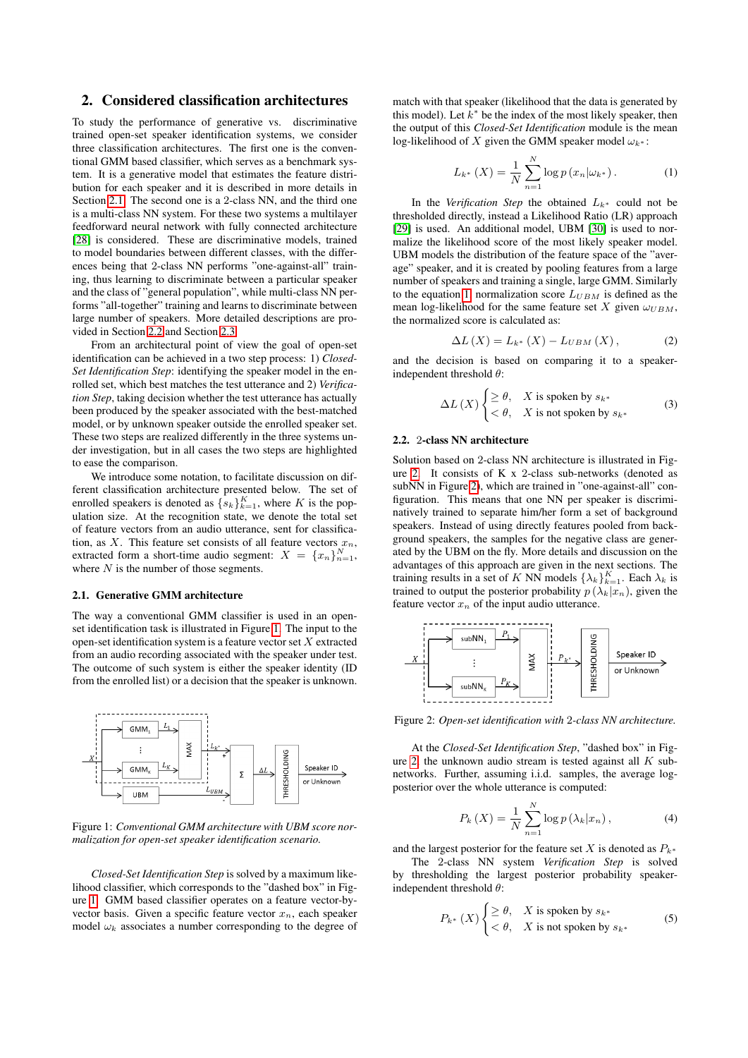# 2. Considered classification architectures

To study the performance of generative vs. discriminative trained open-set speaker identification systems, we consider three classification architectures. The first one is the conventional GMM based classifier, which serves as a benchmark system. It is a generative model that estimates the feature distribution for each speaker and it is described in more details in Section [2.1.](#page-1-0) The second one is a 2-class NN, and the third one is a multi-class NN system. For these two systems a multilayer feedforward neural network with fully connected architecture [\[28\]](#page-4-27) is considered. These are discriminative models, trained to model boundaries between different classes, with the differences being that 2-class NN performs "one-against-all" training, thus learning to discriminate between a particular speaker and the class of "general population", while multi-class NN performs "all-together" training and learns to discriminate between large number of speakers. More detailed descriptions are provided in Section [2.2](#page-1-1) and Section [2.3.](#page-2-0)

From an architectural point of view the goal of open-set identification can be achieved in a two step process: 1) *Closed-Set Identification Step*: identifying the speaker model in the enrolled set, which best matches the test utterance and 2) *Verification Step*, taking decision whether the test utterance has actually been produced by the speaker associated with the best-matched model, or by unknown speaker outside the enrolled speaker set. These two steps are realized differently in the three systems under investigation, but in all cases the two steps are highlighted to ease the comparison.

We introduce some notation, to facilitate discussion on different classification architecture presented below. The set of enrolled speakers is denoted as  $\{s_k\}_{k=1}^K$ , where K is the population size. At the recognition state, we denote the total set of feature vectors from an audio utterance, sent for classification, as X. This feature set consists of all feature vectors  $x_n$ , extracted form a short-time audio segment:  $X = \{x_n\}_{n=1}^N$ , where  $N$  is the number of those segments.

#### <span id="page-1-0"></span>2.1. Generative GMM architecture

The way a conventional GMM classifier is used in an openset identification task is illustrated in Figure [1.](#page-1-2) The input to the open-set identification system is a feature vector set  $X$  extracted from an audio recording associated with the speaker under test. The outcome of such system is either the speaker identity (ID from the enrolled list) or a decision that the speaker is unknown.

<span id="page-1-2"></span>

Figure 1: *Conventional GMM architecture with UBM score normalization for open-set speaker identification scenario.*

*Closed-Set Identification Step* is solved by a maximum likelihood classifier, which corresponds to the "dashed box" in Figure [1.](#page-1-2) GMM based classifier operates on a feature vector-byvector basis. Given a specific feature vector  $x_n$ , each speaker model  $\omega_k$  associates a number corresponding to the degree of

match with that speaker (likelihood that the data is generated by this model). Let  $k^*$  be the index of the most likely speaker, then the output of this *Closed-Set Identification* module is the mean log-likelihood of X given the GMM speaker model  $\omega_{k^*}$ :

<span id="page-1-3"></span>
$$
L_{k^*}\left(X\right) = \frac{1}{N} \sum_{n=1}^{N} \log p\left(x_n | \omega_{k^*}\right). \tag{1}
$$

In the *Verification Step* the obtained  $L_{k^*}$  could not be thresholded directly, instead a Likelihood Ratio (LR) approach [\[29\]](#page-4-28) is used. An additional model, UBM [\[30\]](#page-4-29) is used to normalize the likelihood score of the most likely speaker model. UBM models the distribution of the feature space of the "average" speaker, and it is created by pooling features from a large number of speakers and training a single, large GMM. Similarly to the equation [1,](#page-1-3) normalization score  $L_{UBM}$  is defined as the mean log-likelihood for the same feature set X given  $\omega_{UBM}$ , the normalized score is calculated as:

$$
\Delta L\left(X\right) = L_{k^*}\left(X\right) - L_{UBM}\left(X\right),\tag{2}
$$

and the decision is based on comparing it to a speakerindependent threshold  $\theta$ :

$$
\Delta L(X) \begin{cases} \geq \theta, & X \text{ is spoken by } s_{k^*} \\ < \theta, & X \text{ is not spoken by } s_{k^*} \end{cases}
$$
 (3)

#### <span id="page-1-1"></span>2.2. 2-class NN architecture

Solution based on 2-class NN architecture is illustrated in Figure [2.](#page-1-4) It consists of K x 2-class sub-networks (denoted as subNN in Figure [2\)](#page-1-4), which are trained in "one-against-all" configuration. This means that one NN per speaker is discriminatively trained to separate him/her form a set of background speakers. Instead of using directly features pooled from background speakers, the samples for the negative class are generated by the UBM on the fly. More details and discussion on the advantages of this approach are given in the next sections. The training results in a set of K NN models  $\{\lambda_k\}_{k=1}^K$ . Each  $\lambda_k$  is trained to output the posterior probability  $p(\lambda_k|x_n)$ , given the feature vector  $x_n$  of the input audio utterance.

<span id="page-1-4"></span>

Figure 2: *Open-set identification with* 2*-class NN architecture.*

At the *Closed-Set Identification Step*, "dashed box" in Fig-ure [2,](#page-1-4) the unknown audio stream is tested against all  $K$  subnetworks. Further, assuming i.i.d. samples, the average logposterior over the whole utterance is computed:

$$
P_k(X) = \frac{1}{N} \sum_{n=1}^{N} \log p\left(\lambda_k | x_n\right),\tag{4}
$$

and the largest posterior for the feature set X is denoted as  $P_{k^*}$ 

The 2-class NN system *Verification Step* is solved by thresholding the largest posterior probability speakerindependent threshold  $\theta$ :

$$
P_{k^*}(X) \begin{cases} \geq \theta, & X \text{ is spoken by } s_{k^*} \\ < \theta, & X \text{ is not spoken by } s_{k^*} \end{cases}
$$
 (5)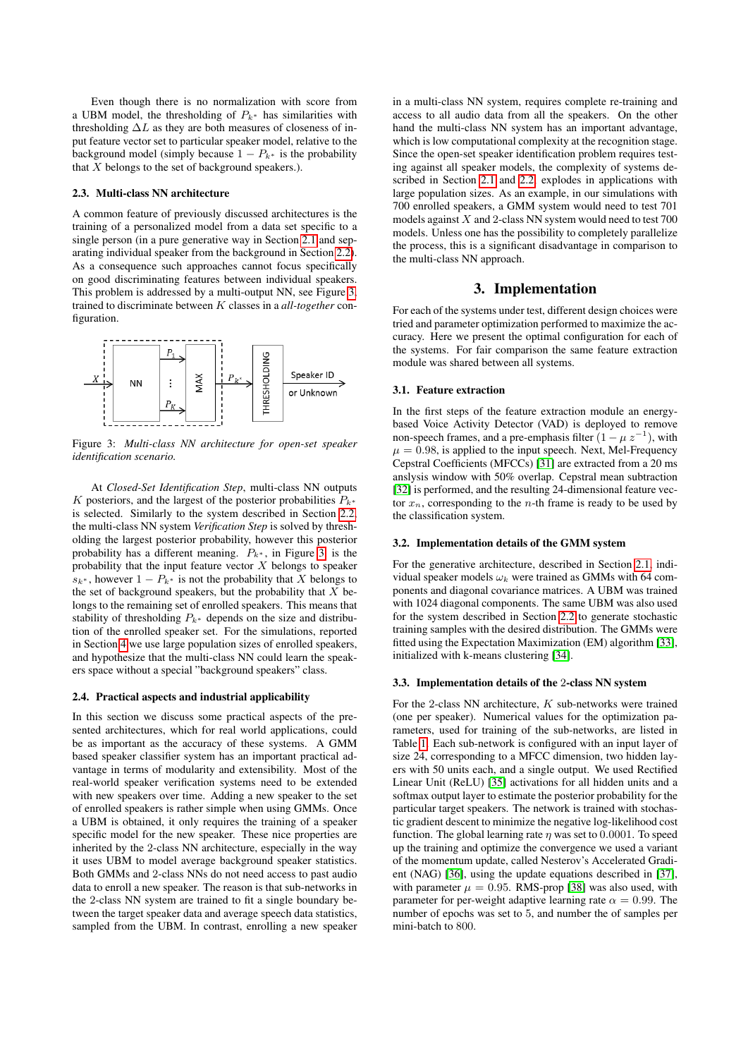Even though there is no normalization with score from a UBM model, the thresholding of  $P_{k^*}$  has similarities with thresholding  $\Delta L$  as they are both measures of closeness of input feature vector set to particular speaker model, relative to the background model (simply because  $1 - P_{k^*}$  is the probability that  $X$  belongs to the set of background speakers.).

# <span id="page-2-0"></span>2.3. Multi-class NN architecture

A common feature of previously discussed architectures is the training of a personalized model from a data set specific to a single person (in a pure generative way in Section [2.1](#page-1-0) and separating individual speaker from the background in Section [2.2\)](#page-1-1). As a consequence such approaches cannot focus specifically on good discriminating features between individual speakers. This problem is addressed by a multi-output NN, see Figure [3,](#page-2-1) trained to discriminate between K classes in a *all-together* configuration.

<span id="page-2-1"></span>

Figure 3: *Multi-class NN architecture for open-set speaker identification scenario.*

At *Closed-Set Identification Step*, multi-class NN outputs K posteriors, and the largest of the posterior probabilities  $P_{k^*}$ is selected. Similarly to the system described in Section [2.2,](#page-1-1) the multi-class NN system *Verification Step* is solved by thresholding the largest posterior probability, however this posterior probability has a different meaning.  $P_{k*}$ , in Figure [3,](#page-2-1) is the probability that the input feature vector  $X$  belongs to speaker  $s_{k^*}$ , however  $1 - P_{k^*}$  is not the probability that X belongs to the set of background speakers, but the probability that  $X$  belongs to the remaining set of enrolled speakers. This means that stability of thresholding  $P_{k^*}$  depends on the size and distribution of the enrolled speaker set. For the simulations, reported in Section [4](#page-3-0) we use large population sizes of enrolled speakers, and hypothesize that the multi-class NN could learn the speakers space without a special "background speakers" class.

#### 2.4. Practical aspects and industrial applicability

In this section we discuss some practical aspects of the presented architectures, which for real world applications, could be as important as the accuracy of these systems. A GMM based speaker classifier system has an important practical advantage in terms of modularity and extensibility. Most of the real-world speaker verification systems need to be extended with new speakers over time. Adding a new speaker to the set of enrolled speakers is rather simple when using GMMs. Once a UBM is obtained, it only requires the training of a speaker specific model for the new speaker. These nice properties are inherited by the 2-class NN architecture, especially in the way it uses UBM to model average background speaker statistics. Both GMMs and 2-class NNs do not need access to past audio data to enroll a new speaker. The reason is that sub-networks in the 2-class NN system are trained to fit a single boundary between the target speaker data and average speech data statistics, sampled from the UBM. In contrast, enrolling a new speaker in a multi-class NN system, requires complete re-training and access to all audio data from all the speakers. On the other hand the multi-class NN system has an important advantage, which is low computational complexity at the recognition stage. Since the open-set speaker identification problem requires testing against all speaker models, the complexity of systems described in Section [2.1](#page-1-0) and [2.2,](#page-1-1) explodes in applications with large population sizes. As an example, in our simulations with 700 enrolled speakers, a GMM system would need to test 701 models against  $X$  and 2-class NN system would need to test 700 models. Unless one has the possibility to completely parallelize the process, this is a significant disadvantage in comparison to the multi-class NN approach.

# 3. Implementation

For each of the systems under test, different design choices were tried and parameter optimization performed to maximize the accuracy. Here we present the optimal configuration for each of the systems. For fair comparison the same feature extraction module was shared between all systems.

#### 3.1. Feature extraction

In the first steps of the feature extraction module an energybased Voice Activity Detector (VAD) is deployed to remove non-speech frames, and a pre-emphasis filter  $(1 - \mu z^{-1})$ , with  $\mu = 0.98$ , is applied to the input speech. Next, Mel-Frequency Cepstral Coefficients (MFCCs) [\[31\]](#page-4-30) are extracted from a 20 ms anslysis window with 50% overlap. Cepstral mean subtraction [\[32\]](#page-4-31) is performed, and the resulting 24-dimensional feature vector  $x_n$ , corresponding to the *n*-th frame is ready to be used by the classification system.

# 3.2. Implementation details of the GMM system

For the generative architecture, described in Section [2.1,](#page-1-0) individual speaker models  $\omega_k$  were trained as GMMs with 64 components and diagonal covariance matrices. A UBM was trained with 1024 diagonal components. The same UBM was also used for the system described in Section [2.2](#page-1-1) to generate stochastic training samples with the desired distribution. The GMMs were fitted using the Expectation Maximization (EM) algorithm [\[33\]](#page-4-32), initialized with k-means clustering [\[34\]](#page-4-33).

#### 3.3. Implementation details of the 2-class NN system

For the 2-class NN architecture,  $K$  sub-networks were trained (one per speaker). Numerical values for the optimization parameters, used for training of the sub-networks, are listed in Table [1.](#page-3-1) Each sub-network is configured with an input layer of size 24, corresponding to a MFCC dimension, two hidden layers with 50 units each, and a single output. We used Rectified Linear Unit (ReLU) [\[35\]](#page-4-34) activations for all hidden units and a softmax output layer to estimate the posterior probability for the particular target speakers. The network is trained with stochastic gradient descent to minimize the negative log-likelihood cost function. The global learning rate  $\eta$  was set to 0.0001. To speed up the training and optimize the convergence we used a variant of the momentum update, called Nesterov's Accelerated Gradient (NAG) [\[36\]](#page-4-35), using the update equations described in [\[37\]](#page-4-36), with parameter  $\mu = 0.95$ . RMS-prop [\[38\]](#page-4-37) was also used, with parameter for per-weight adaptive learning rate  $\alpha = 0.99$ . The number of epochs was set to 5, and number the of samples per mini-batch to 800.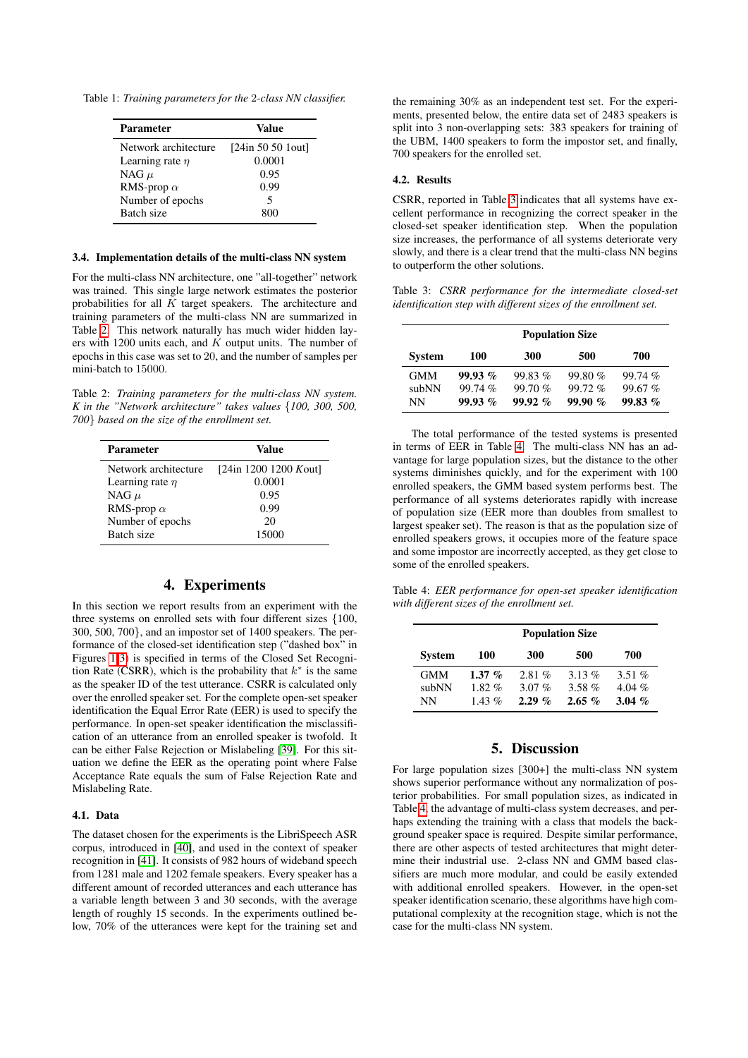<span id="page-3-1"></span>Table 1: *Training parameters for the* 2*-class NN classifier.*

| Parameter            | Value             |
|----------------------|-------------------|
| Network architecture | [24in 50 50 1out] |
| Learning rate $\eta$ | 0.0001            |
| NAG $\mu$            | 0.95              |
| RMS-prop $\alpha$    | 0.99              |
| Number of epochs     | 5                 |
| Batch size           | 800               |

# 3.4. Implementation details of the multi-class NN system

For the multi-class NN architecture, one "all-together" network was trained. This single large network estimates the posterior probabilities for all  $K$  target speakers. The architecture and training parameters of the multi-class NN are summarized in Table [2.](#page-3-2) This network naturally has much wider hidden layers with 1200 units each, and  $K$  output units. The number of epochs in this case was set to 20, and the number of samples per mini-batch to 15000.

<span id="page-3-2"></span>Table 2: *Training parameters for the multi-class NN system. K in the "Network architecture" takes values* {*100, 300, 500, 700*} *based on the size of the enrollment set.*

| <b>Parameter</b>     | Value                 |
|----------------------|-----------------------|
| Network architecture | [24in 1200 1200 Kout] |
| Learning rate $\eta$ | 0.0001                |
| NAG $\mu$            | 0.95                  |
| RMS-prop $\alpha$    | 0.99                  |
| Number of epochs     | 20                    |
| Batch size           | 15000                 |

# 4. Experiments

<span id="page-3-0"></span>In this section we report results from an experiment with the three systems on enrolled sets with four different sizes {100, 300, 500, 700}, and an impostor set of 1400 speakers. The performance of the closed-set identification step ("dashed box" in Figures [1](#page-1-2)[-3\)](#page-2-1) is specified in terms of the Closed Set Recognition Rate (CSRR), which is the probability that  $k^*$  is the same as the speaker ID of the test utterance. CSRR is calculated only over the enrolled speaker set. For the complete open-set speaker identification the Equal Error Rate (EER) is used to specify the performance. In open-set speaker identification the misclassification of an utterance from an enrolled speaker is twofold. It can be either False Rejection or Mislabeling [\[39\]](#page-4-38). For this situation we define the EER as the operating point where False Acceptance Rate equals the sum of False Rejection Rate and Mislabeling Rate.

# 4.1. Data

The dataset chosen for the experiments is the LibriSpeech ASR corpus, introduced in [\[40\]](#page-4-39), and used in the context of speaker recognition in [\[41\]](#page-4-40). It consists of 982 hours of wideband speech from 1281 male and 1202 female speakers. Every speaker has a different amount of recorded utterances and each utterance has a variable length between 3 and 30 seconds, with the average length of roughly 15 seconds. In the experiments outlined below, 70% of the utterances were kept for the training set and the remaining 30% as an independent test set. For the experiments, presented below, the entire data set of 2483 speakers is split into 3 non-overlapping sets: 383 speakers for training of the UBM, 1400 speakers to form the impostor set, and finally, 700 speakers for the enrolled set.

# 4.2. Results

CSRR, reported in Table [3](#page-3-3) indicates that all systems have excellent performance in recognizing the correct speaker in the closed-set speaker identification step. When the population size increases, the performance of all systems deteriorate very slowly, and there is a clear trend that the multi-class NN begins to outperform the other solutions.

<span id="page-3-3"></span>Table 3: *CSRR performance for the intermediate closed-set identification step with different sizes of the enrollment set.*

|               | <b>Population Size</b> |           |           |        |  |
|---------------|------------------------|-----------|-----------|--------|--|
| <b>System</b> | 100                    | 300       | 500       | 700    |  |
| <b>GMM</b>    | 99.93%                 | 99.83%    | 99.80%    | 99.74% |  |
| subNN         | 99.74%                 | 99.70%    | $99.72\%$ | 99.67% |  |
| NΝ            | 99.93%                 | $99.92\%$ | 99.90%    | 99.83% |  |

The total performance of the tested systems is presented in terms of EER in Table [4.](#page-3-4) The multi-class NN has an advantage for large population sizes, but the distance to the other systems diminishes quickly, and for the experiment with 100 enrolled speakers, the GMM based system performs best. The performance of all systems deteriorates rapidly with increase of population size (EER more than doubles from smallest to largest speaker set). The reason is that as the population size of enrolled speakers grows, it occupies more of the feature space and some impostor are incorrectly accepted, as they get close to some of the enrolled speakers.

<span id="page-3-4"></span>Table 4: *EER performance for open-set speaker identification with different sizes of the enrollment set.*

|               | <b>Population Size</b> |          |          |          |  |
|---------------|------------------------|----------|----------|----------|--|
| <b>System</b> | 100                    | 300      | 500      | 700      |  |
| <b>GMM</b>    | $1.37\%$               | 2.81%    | $3.13\%$ | 3.51 $%$ |  |
| subNN         | $1.82\%$               | 3.07 $%$ | $3.58\%$ | 4.04 $%$ |  |
| NΝ            | 1.43 $\%$              | $2.29\%$ | $2.65\%$ | 3.04 $%$ |  |

# 5. Discussion

For large population sizes [300+] the multi-class NN system shows superior performance without any normalization of posterior probabilities. For small population sizes, as indicated in Table [4,](#page-3-4) the advantage of multi-class system decreases, and perhaps extending the training with a class that models the background speaker space is required. Despite similar performance, there are other aspects of tested architectures that might determine their industrial use. 2-class NN and GMM based classifiers are much more modular, and could be easily extended with additional enrolled speakers. However, in the open-set speaker identification scenario, these algorithms have high computational complexity at the recognition stage, which is not the case for the multi-class NN system.